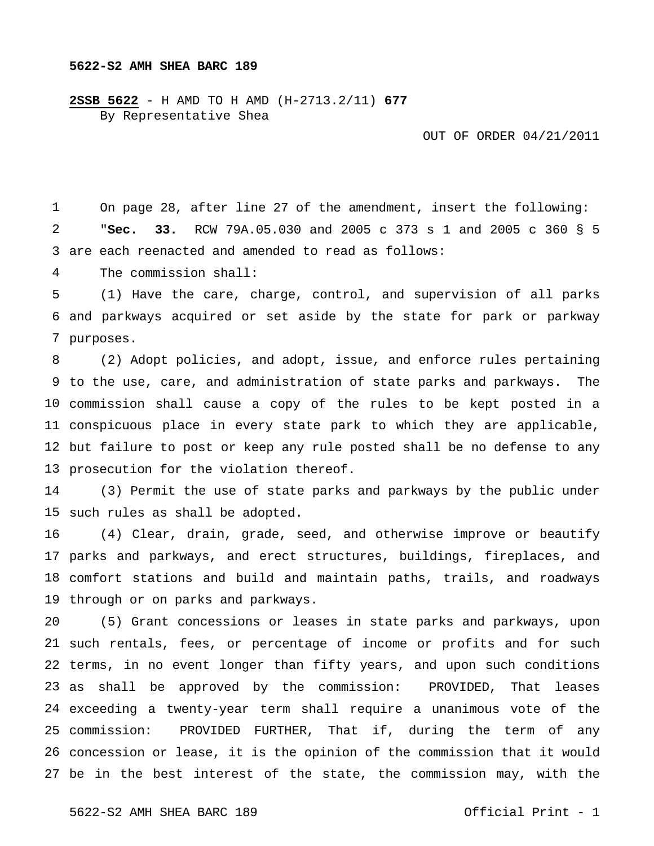**2SSB 5622** - H AMD TO H AMD (H-2713.2/11) **677** By Representative Shea

OUT OF ORDER 04/21/2011

 are each reenacted and amended to read as follows: On page 28, after line 27 of the amendment, insert the following: "**Sec. 33.** RCW 79A.05.030 and 2005 c 373 s 1 and 2005 c 360 § 5

 The commission shall:

 and parkways acquired or set aside by the state for park or parkway purposes. (1) Have the care, charge, control, and supervision of all parks

 to the use, care, and administration of state parks and parkways. The commission shall cause a copy of the rules to be kept posted in a conspicuous place in every state park to which they are applicable, but failure to post or keep any rule posted shall be no defense to any prosecution for the violation thereof. (2) Adopt policies, and adopt, issue, and enforce rules pertaining

 such rules as shall be adopted. (3) Permit the use of state parks and parkways by the public under

 parks and parkways, and erect structures, buildings, fireplaces, and comfort stations and build and maintain paths, trails, and roadways through or on parks and parkways. (4) Clear, drain, grade, seed, and otherwise improve or beautify

 such rentals, fees, or percentage of income or profits and for such terms, in no event longer than fifty years, and upon such conditions as shall be approved by the commission: PROVIDED, That leases exceeding a twenty-year term shall require a unanimous vote of the 25 commission: concession or lease, it is the opinion of the commission that it would be in the best interest of the state, the commission may, with the (5) Grant concessions or leases in state parks and parkways, upon PROVIDED FURTHER, That if, during the term of any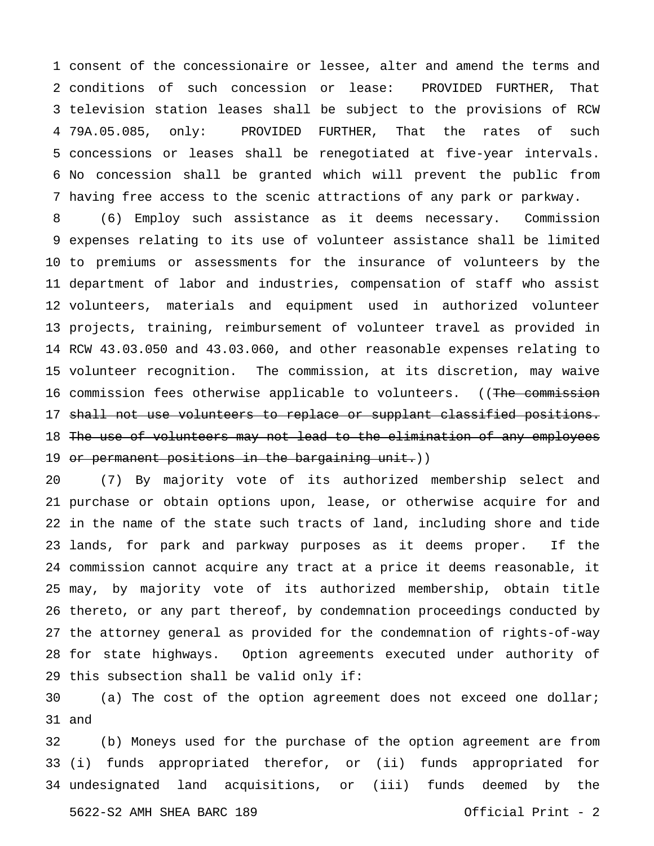consent of the concessionaire or lessee, alter and amend the terms and conditions of such concession or lease: PROVIDED FURTHER, That television station leases shall be subject to the provisions of RCW 4 79A.05.085, only: concessions or leases shall be renegotiated at five-year intervals. No concession shall be granted which will prevent the public from having free access to the scenic attractions of any park or parkway. PROVIDED FURTHER, That the rates of such

 expenses relating to its use of volunteer assistance shall be limited to premiums or assessments for the insurance of volunteers by the department of labor and industries, compensation of staff who assist volunteers, materials and equipment used in authorized volunteer projects, training, reimbursement of volunteer travel as provided in RCW 43.03.050 and 43.03.060, and other reasonable expenses relating to volunteer recognition. The commission, at its discretion, may waive commission fees otherwise applicable to volunteers. ((The commission shall not use volunteers to replace or supplant classified positions. The use of volunteers may not lead to the elimination of any employees or permanent positions in the bargaining unit.)) (6) Employ such assistance as it deems necessary. Commission

 purchase or obtain options upon, lease, or otherwise acquire for and in the name of the state such tracts of land, including shore and tide lands, for park and parkway purposes as it deems proper. If the commission cannot acquire any tract at a price it deems reasonable, it may, by majority vote of its authorized membership, obtain title thereto, or any part thereof, by condemnation proceedings conducted by the attorney general as provided for the condemnation of rights-of-way for state highways. Option agreements executed under authority of this subsection shall be valid only if: (7) By majority vote of its authorized membership select and

 and (a) The cost of the option agreement does not exceed one dollar;

 (i) funds appropriated therefor, or (ii) funds appropriated for undesignated land acquisitions, or (iii) funds deemed by the (b) Moneys used for the purchase of the option agreement are from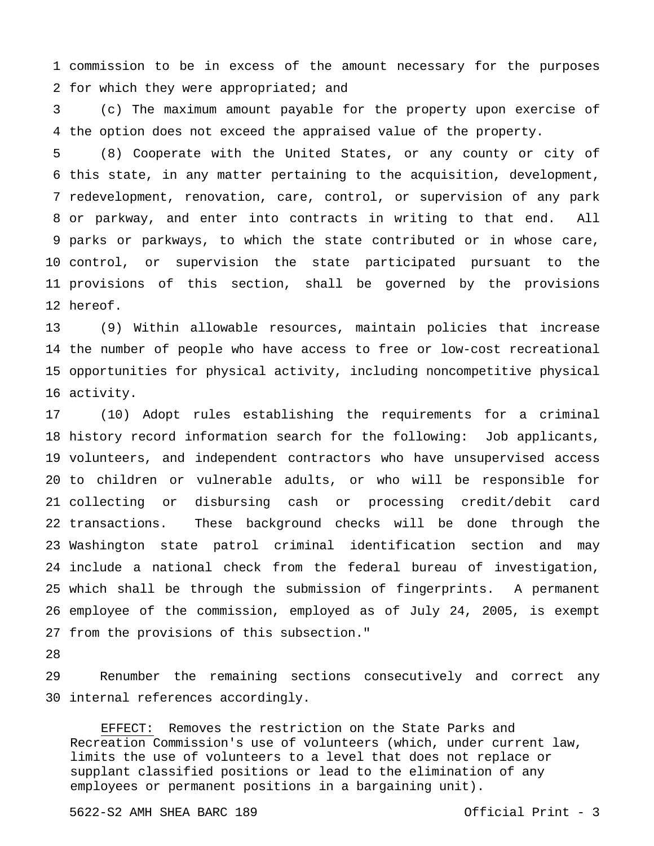commission to be in excess of the amount necessary for the purposes for which they were appropriated; and

 the option does not exceed the appraised value of the property. (c) The maximum amount payable for the property upon exercise of

 this state, in any matter pertaining to the acquisition, development, redevelopment, renovation, care, control, or supervision of any park or parkway, and enter into contracts in writing to that end. All parks or parkways, to which the state contributed or in whose care, control, or supervision the state participated pursuant to the provisions of this section, shall be governed by the provisions hereof. (8) Cooperate with the United States, or any county or city of

 the number of people who have access to free or low-cost recreational opportunities for physical activity, including noncompetitive physical activity. (9) Within allowable resources, maintain policies that increase

 history record information search for the following: Job applicants, volunteers, and independent contractors who have unsupervised access to children or vulnerable adults, or who will be responsible for collecting or disbursing cash or processing credit/debit card 22 transactions. Washington state patrol criminal identification section and may include a national check from the federal bureau of investigation, which shall be through the submission of fingerprints. A permanent employee of the commission, employed as of July 24, 2005, is exempt from the provisions of this subsection." (10) Adopt rules establishing the requirements for a criminal These background checks will be done through the

 internal references accordingly. Renumber the remaining sections consecutively and correct any

 EFFECT: Removes the restriction on the State Parks and Recreation Commission's use of volunteers (which, under current law, limits the use of volunteers to a level that does not replace or supplant classified positions or lead to the elimination of any employees or permanent positions in a bargaining unit).

5622-S2 AMH SHEA BARC 189 Official Print - 3